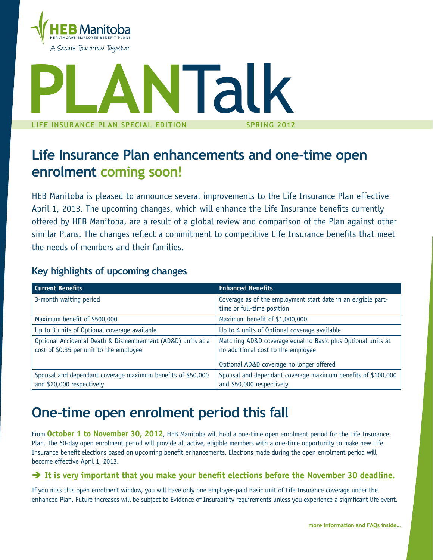

# **PLA**<br>LIFE INSURANCE PLAN SPEC **life insurance plan Spec ial Edition NTalk SPRING 2012**

## **Life Insurance Plan enhancements and one-time open enrolment coming soon!**

HEB Manitoba is pleased to announce several improvements to the Life Insurance Plan effective April 1, 2013. The upcoming changes, which will enhance the Life Insurance benefits currently offered by HEB Manitoba, are a result of a global review and comparison of the Plan against other similar Plans. The changes reflect a commitment to competitive Life Insurance benefits that meet the needs of members and their families.

| <b>Current Benefits</b>                                                                                | <b>Enhanced Benefits</b>                                                                           |  |
|--------------------------------------------------------------------------------------------------------|----------------------------------------------------------------------------------------------------|--|
| 3-month waiting period                                                                                 | Coverage as of the employment start date in an eligible part-<br>time or full-time position        |  |
| Maximum benefit of \$500,000                                                                           | Maximum benefit of \$1,000,000                                                                     |  |
| Up to 3 units of Optional coverage available                                                           | Up to 4 units of Optional coverage available                                                       |  |
| Optional Accidental Death & Dismemberment (AD&D) units at a<br>cost of \$0.35 per unit to the employee | Matching AD&D coverage equal to Basic plus Optional units at<br>no additional cost to the employee |  |
|                                                                                                        | Optional AD&D coverage no longer offered                                                           |  |
| Spousal and dependant coverage maximum benefits of \$50,000<br>and \$20,000 respectively               | Spousal and dependant coverage maximum benefits of \$100,000<br>and \$50,000 respectively          |  |

## **Key highlights of upcoming changes**

## **One-time open enrolment period this fall**

From **October 1 to November 30, 2012**, HEB Manitoba will hold a one-time open enrolment period for the Life Insurance Plan. The 60-day open enrolment period will provide all active, eligible members with a one-time opportunity to make new Life Insurance benefit elections based on upcoming benefit enhancements. Elections made during the open enrolment period will become effective April 1, 2013.

### $\rightarrow$  It is very important that you make your benefit elections before the November 30 deadline.

If you miss this open enrolment window, you will have only one employer-paid Basic unit of Life Insurance coverage under the enhanced Plan. Future increases will be subject to Evidence of Insurability requirements unless you experience a significant life event.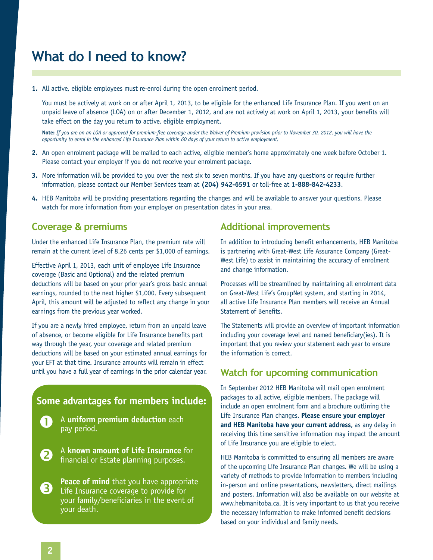## **What do I need to know?**

**1.** All active, eligible employees must re-enrol during the open enrolment period.

You must be actively at work on or after April 1, 2013, to be eligible for the enhanced Life Insurance Plan. If you went on an unpaid leave of absence (LOA) on or after December 1, 2012, and are not actively at work on April 1, 2013, your benefits will take effect on the day you return to active, eligible employment.

**Note:** *If you are on an LOA or approved for premium-free coverage under the Waiver of Premium provision prior to November 30, 2012, you will have the opportunity to enrol in the enhanced Life Insurance Plan within 60 days of your return to active employment.*

- **2.** An open enrolment package will be mailed to each active, eligible member's home approximately one week before October 1. Please contact your employer if you do not receive your enrolment package.
- **3.** More information will be provided to you over the next six to seven months. If you have any questions or require further information, please contact our Member Services team at **(204) 942-6591** or toll-free at **1-888-842-4233**.
- **4.** HEB Manitoba will be providing presentations regarding the changes and will be available to answer your questions. Please watch for more information from your employer on presentation dates in your area.

### **Coverage & premiums**

Under the enhanced Life Insurance Plan, the premium rate will remain at the current level of 8.26 cents per \$1,000 of earnings.

Effective April 1, 2013, each unit of employee Life Insurance coverage (Basic and Optional) and the related premium deductions will be based on your prior year's gross basic annual earnings, rounded to the next higher \$1,000. Every subsequent April, this amount will be adjusted to reflect any change in your earnings from the previous year worked.

If you are a newly hired employee, return from an unpaid leave of absence, or become eligible for Life Insurance benefits part way through the year, your coverage and related premium deductions will be based on your estimated annual earnings for your EFT at that time. Insurance amounts will remain in effect

## **Some advantages for members include:**

- A **uniform premium deduction** each pay period.
- A **known amount of Life Insurance** for financial or Estate planning purposes. 2
- **Peace of mind** that you have appropriate Life Insurance coverage to provide for your family/beneficiaries in the event of your death. 3

### **Additional improvements**

In addition to introducing benefit enhancements, HEB Manitoba is partnering with Great-West Life Assurance Company (Great-West Life) to assist in maintaining the accuracy of enrolment and change information.

Processes will be streamlined by maintaining all enrolment data on Great-West Life's GroupNet system, and starting in 2014, all active Life Insurance Plan members will receive an Annual Statement of Benefits.

The Statements will provide an overview of important information including your coverage level and named beneficiary(ies). It is important that you review your statement each year to ensure the information is correct.

### until you have a full year of earnings in the prior calendar year. **Watch for upcoming communication**

In September 2012 HEB Manitoba will mail open enrolment packages to all active, eligible members. The package will include an open enrolment form and a brochure outlining the Life Insurance Plan changes. **Please ensure your employer and HEB Manitoba have your current address**, as any delay in receiving this time sensitive information may impact the amount of Life Insurance you are eligible to elect.

HEB Manitoba is committed to ensuring all members are aware of the upcoming Life Insurance Plan changes. We will be using a variety of methods to provide information to members including in-person and online presentations, newsletters, direct mailings and posters. Information will also be available on our website at www.hebmanitoba.ca. It is very important to us that you receive the necessary information to make informed benefit decisions based on your individual and family needs.

O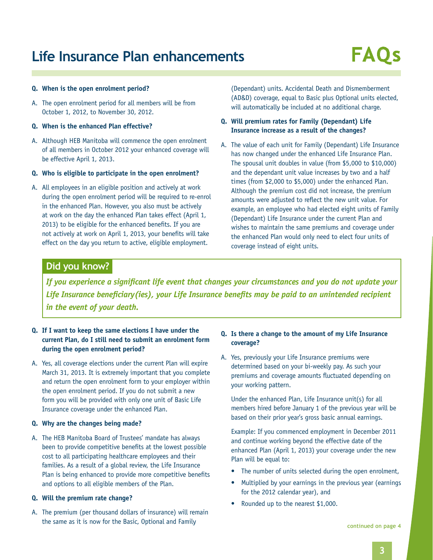## **Life Insurance Plan enhancements**

#### **Q. When is the open enrolment period?**

- A. The open enrolment period for all members will be from October 1, 2012, to November 30, 2012.
- **Q. When is the enhanced Plan effective?**
- A. Although HEB Manitoba will commence the open enrolment of all members in October 2012 your enhanced coverage will be effective April 1, 2013.
- **Q. Who is eligible to participate in the open enrolment?**
- A. All employees in an eligible position and actively at work during the open enrolment period will be required to re-enrol in the enhanced Plan. However, you also must be actively at work on the day the enhanced Plan takes effect (April 1, 2013) to be eligible for the enhanced benefits. If you are not actively at work on April 1, 2013, your benefits will take effect on the day you return to active, eligible employment.

(Dependant) units. Accidental Death and Dismemberment (AD&D) coverage, equal to Basic plus Optional units elected, will automatically be included at no additional charge.

#### **Q. Will premium rates for Family (Dependant) Life Insurance increase as a result of the changes?**

A. The value of each unit for Family (Dependant) Life Insurance has now changed under the enhanced Life Insurance Plan. The spousal unit doubles in value (from \$5,000 to \$10,000) and the dependant unit value increases by two and a half times (from \$2,000 to \$5,000) under the enhanced Plan. Although the premium cost did not increase, the premium amounts were adjusted to reflect the new unit value. For example, an employee who had elected eight units of Family (Dependant) Life Insurance under the current Plan and wishes to maintain the same premiums and coverage under the enhanced Plan would only need to elect four units of coverage instead of eight units.

### **Did you know?**

*If you experience a significant life event that changes your circumstances and you do not update your Life Insurance beneficiary(ies), your Life Insurance benefits may be paid to an unintended recipient in the event of your death.*

#### **Q. If I want to keep the same elections I have under the current Plan, do I still need to submit an enrolment form during the open enrolment period?**

A. Yes, all coverage elections under the current Plan will expire March 31, 2013. It is extremely important that you complete and return the open enrolment form to your employer within the open enrolment period. If you do not submit a new form you will be provided with only one unit of Basic Life Insurance coverage under the enhanced Plan.

#### **Q. Why are the changes being made?**

A. The HEB Manitoba Board of Trustees' mandate has always been to provide competitive benefits at the lowest possible cost to all participating healthcare employees and their families. As a result of a global review, the Life Insurance Plan is being enhanced to provide more competitive benefits and options to all eligible members of the Plan.

#### **Q. Will the premium rate change?**

A. The premium (per thousand dollars of insurance) will remain the same as it is now for the Basic, Optional and Family

#### **Q. Is there a change to the amount of my Life Insurance coverage?**

A. Yes, previously your Life Insurance premiums were determined based on your bi-weekly pay. As such your premiums and coverage amounts fluctuated depending on your working pattern.

Under the enhanced Plan, Life Insurance unit(s) for all members hired before January 1 of the previous year will be based on their prior year's gross basic annual earnings.

Example: If you commenced employment in December 2011 and continue working beyond the effective date of the enhanced Plan (April 1, 2013) your coverage under the new Plan will be equal to:

- The number of units selected during the open enrolment,
- Multiplied by your earnings in the previous year (earnings) for the 2012 calendar year), and
- Rounded up to the nearest \$1,000.